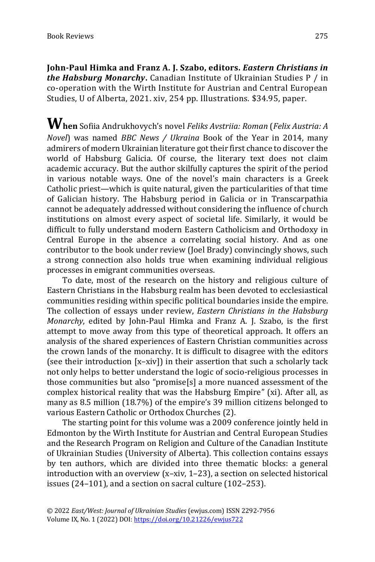**John-Paul Himka and Franz A. J. Szabo, editors.** *Eastern Christians in the Habsburg Monarchy***.** Canadian Institute of Ukrainian Studies P / in co-operation with the Wirth Institute for Austrian and Central European Studies, U of Alberta, 2021. xiv, 254 pp. Illustrations. \$34.95, paper.

**When** Sofiia Andrukhovych's novel *Feliks Avstriia: Roman* (*Felix Austria: <sup>A</sup> Novel*) was named *BBC News / Ukraina* Book of the Year in 2014, many admirers of modern Ukrainian literature got their first chance to discover the world of Habsburg Galicia. Of course, the literary text does not claim academic accuracy. But the author skilfully captures the spirit of the period in various notable ways. One of the novel's main characters is a Greek Catholic priest—which is quite natural, given the particularities of that time of Galician history. The Habsburg period in Galicia or in Transcarpathia cannot be adequately addressed without considering the influence of church institutions on almost every aspect of societal life. Similarly, it would be difficult to fully understand modern Eastern Catholicism and Orthodoxy in Central Europe in the absence a correlating social history. And as one contributor to the book under review (Joel Brady) convincingly shows, such a strong connection also holds true when examining individual religious processes in emigrant communities overseas.

To date, most of the research on the history and religious culture of Eastern Christians in the Habsburg realm has been devoted to ecclesiastical communities residing within specific political boundaries inside the empire. The collection of essays under review, *Eastern Christians in the Habsburg Monarchy*, edited by John-Paul Himka and Franz A. J. Szabo, is the first attempt to move away from this type of theoretical approach. It offers an analysis of the shared experiences of Eastern Christian communities across the crown lands of the monarchy. It is difficult to disagree with the editors (see their introduction [x–xiv]) in their assertion that such a scholarly tack not only helps to better understand the logic of socio-religious processes in those communities but also "promise[s] a more nuanced assessment of the complex historical reality that was the Habsburg Empire" (xi). After all, as many as 8.5 million (18.7%) of the empire's 39 million citizens belonged to various Eastern Catholic or Orthodox Churches (2).

The starting point for this volume was a 2009 conference jointly held in Edmonton by the Wirth Institute for Austrian and Central European Studies and the Research Program on Religion and Culture of the Canadian Institute of Ukrainian Studies (University of Alberta). This collection contains essays by ten authors, which are divided into three thematic blocks: a general introduction with an overview (x–xiv, 1–23), a section on selected historical issues (24–101), and a section on sacral culture (102–253).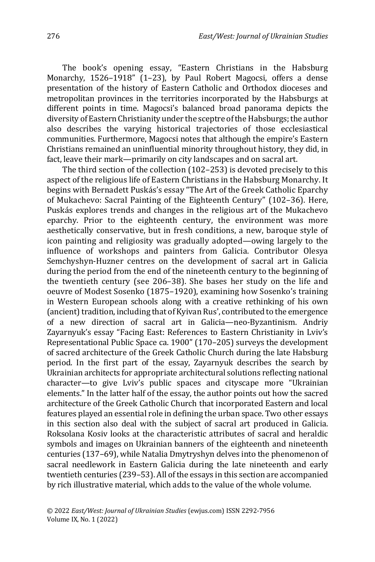The book's opening essay, "Eastern Christians in the Habsburg Monarchy, 1526–1918" (1–23), by Paul Robert Magocsi, offers a dense presentation of the history of Eastern Catholic and Orthodox dioceses and metropolitan provinces in the territories incorporated by the Habsburgs at different points in time. Magocsi's balanced broad panorama depicts the diversity of Eastern Christianity under the sceptre of the Habsburgs; the author also describes the varying historical trajectories of those ecclesiastical communities. Furthermore, Magocsi notes that although the empire's Eastern Christians remained an uninfluential minority throughout history, they did, in fact, leave their mark—primarily on city landscapes and on sacral art.

The third section of the collection (102–253) is devoted precisely to this aspect of the religious life of Eastern Christians in the Habsburg Monarchy. It begins with Bernadett Puskás's essay "The Art of the Greek Catholic Eparchy of Mukachevo: Sacral Painting of the Eighteenth Century" (102–36). Here, Puskás explores trends and changes in the religious art of the Mukachevo eparchy. Prior to the eighteenth century, the environment was more aesthetically conservative, but in fresh conditions, a new, baroque style of icon painting and religiosity was gradually adopted—owing largely to the influence of workshops and painters from Galicia. Contributor Olesya Semchyshyn-Huzner centres on the development of sacral art in Galicia during the period from the end of the nineteenth century to the beginning of the twentieth century (see 206–38). She bases her study on the life and oeuvre of Modest Sosenko (1875–1920), examining how Sosenko's training in Western European schools along with a creative rethinking of his own (ancient) tradition, including that of Kyivan Rus', contributed to the emergence of a new direction of sacral art in Galicia—neo-Byzantinism. Andriy Zayarnyuk's essay "Facing East: References to Eastern Christianity in Lviv's Representational Public Space ca. 1900" (170–205) surveys the development of sacred architecture of the Greek Catholic Church during the late Habsburg period. In the first part of the essay, Zayarnyuk describes the search by Ukrainian architects for appropriate architectural solutions reflecting national character—to give Lviv's public spaces and cityscape more "Ukrainian elements." In the latter half of the essay, the author points out how the sacred architecture of the Greek Catholic Church that incorporated Eastern and local features played an essential role in defining the urban space. Two other essays in this section also deal with the subject of sacral art produced in Galicia. Roksolana Kosiv looks at the characteristic attributes of sacral and heraldic symbols and images on Ukrainian banners of the eighteenth and nineteenth centuries (137–69), while Natalia Dmytryshyn delves into the phenomenon of sacral needlework in Eastern Galicia during the late nineteenth and early twentieth centuries (239–53). All of the essays in this section are accompanied by rich illustrative material, which adds to the value of the whole volume.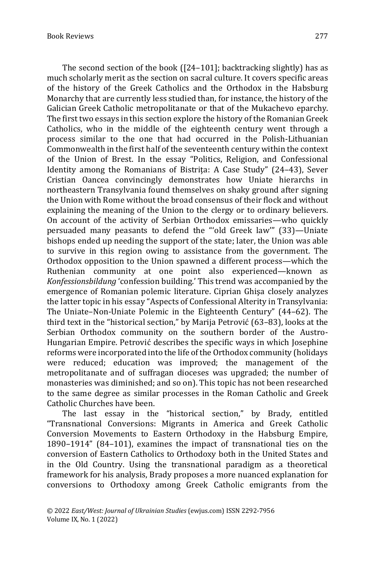The second section of the book ([24–101]; backtracking slightly) has as much scholarly merit as the section on sacral culture. It covers specific areas of the history of the Greek Catholics and the Orthodox in the Habsburg Monarchy that are currently less studied than, for instance, the history of the Galician Greek Catholic metropolitanate or that of the Mukachevo eparchy. The first two essays in this section explore the history of the Romanian Greek Catholics, who in the middle of the eighteenth century went through a process similar to the one that had occurred in the Polish-Lithuanian Commonwealth in the first half of the seventeenth century within the context of the Union of Brest. In the essay "Politics, Religion, and Confessional Identity among the Romanians of Bistrita: A Case Study" (24-43), Sever Cristian Oancea convincingly demonstrates how Uniate hierarchs in northeastern Transylvania found themselves on shaky ground after signing the Union with Rome without the broad consensus of their flock and without explaining the meaning of the Union to the clergy or to ordinary believers. On account of the activity of Serbian Orthodox emissaries—who quickly persuaded many peasants to defend the "'old Greek law'" (33)—Uniate bishops ended up needing the support of the state; later, the Union was able to survive in this region owing to assistance from the government. The Orthodox opposition to the Union spawned a different process—which the Ruthenian community at one point also experienced—known as *Konfessionsbildung* 'confession building.' This trend was accompanied by the emergence of Romanian polemic literature. Ciprian Ghişa closely analyzes the latter topic in his essay "Aspects of Confessional Alterity in Transylvania: The Uniate–Non-Uniate Polemic in the Eighteenth Century" (44–62). The third text in the "historical section," by Marija Petrović (63–83), looks at the Serbian Orthodox community on the southern border of the Austro-Hungarian Empire. Petrović describes the specific ways in which Josephine reforms were incorporated into the life of the Orthodox community (holidays were reduced; education was improved; the management of the metropolitanate and of suffragan dioceses was upgraded; the number of monasteries was diminished; and so on). This topic has not been researched to the same degree as similar processes in the Roman Catholic and Greek Catholic Churches have been.

The last essay in the "historical section," by Brady, entitled "Transnational Conversions: Migrants in America and Greek Catholic Conversion Movements to Eastern Orthodoxy in the Habsburg Empire, 1890–1914" (84–101), examines the impact of transnational ties on the conversion of Eastern Catholics to Orthodoxy both in the United States and in the Old Country. Using the transnational paradigm as a theoretical framework for his analysis, Brady proposes a more nuanced eхplanation for conversions to Orthodoxy among Greek Catholic emigrants from the